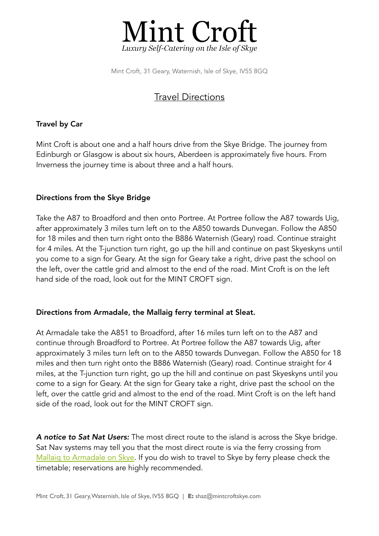

Mint Croft, 31 Geary, Waternish, Isle of Skye, IV55 8GQ

# Travel Directions

# Travel by Car

Mint Croft is about one and a half hours drive from the Skye Bridge. The journey from Edinburgh or Glasgow is about six hours, Aberdeen is approximately five hours. From Inverness the journey time is about three and a half hours.

# Directions from the Skye Bridge

Take the A87 to Broadford and then onto Portree. At Portree follow the A87 towards Uig, after approximately 3 miles turn left on to the A850 towards Dunvegan. Follow the A850 for 18 miles and then turn right onto the B886 Waternish (Geary) road. Continue straight for 4 miles. At the T-junction turn right, go up the hill and continue on past Skyeskyns until you come to a sign for Geary. At the sign for Geary take a right, drive past the school on the left, over the cattle grid and almost to the end of the road. Mint Croft is on the left hand side of the road, look out for the MINT CROFT sign.

## Directions from Armadale, the Mallaig ferry terminal at Sleat.

At Armadale take the A851 to Broadford, after 16 miles turn left on to the A87 and continue through Broadford to Portree. At Portree follow the A87 towards Uig, after approximately 3 miles turn left on to the A850 towards Dunvegan. Follow the A850 for 18 miles and then turn right onto the B886 Waternish (Geary) road. Continue straight for 4 miles, at the T-junction turn right, go up the hill and continue on past Skyeskyns until you come to a sign for Geary. At the sign for Geary take a right, drive past the school on the left, over the cattle grid and almost to the end of the road. Mint Croft is on the left hand side of the road, look out for the MINT CROFT sign.

*A notice to Sat Nat Users:* The most direct route to the island is across the Skye bridge. Sat Nav systems may tell you that the most direct route is via the ferry crossing from [Mallaig to Armadale on Skye.](https://www.calmac.co.uk/summer-timetables/mallaig-armadale) If you do wish to travel to Skye by ferry please check the timetable; reservations are highly recommended.